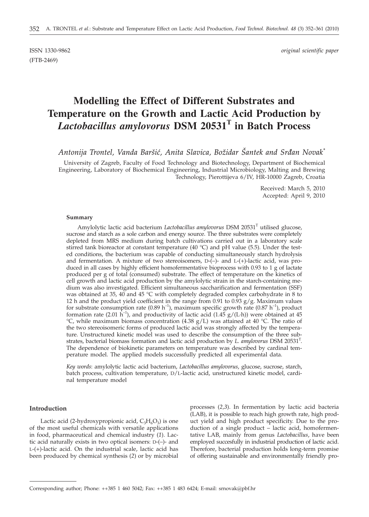(FTB-2469)

ISSN 1330-9862 *original scientific paper*

# **Modelling the Effect of Different Substrates and Temperature on the Growth and Lactic Acid Production by** *Lactobacillus amylovorus* **DSM 20531<sup>T</sup> in Batch Process**

*Antonija Trontel, Vanda Bar{i}, Anita Slavica, Bo`idar [antek and Sr|an Novak\**

University of Zagreb, Faculty of Food Technology and Biotechnology, Department of Biochemical Engineering, Laboratory of Biochemical Engineering, Industrial Microbiology, Malting and Brewing Technology, Pierottijeva 6/IV, HR-10000 Zagreb, Croatia

> Received: March 5, 2010 Accepted: April 9, 2010

### **Summary**

Amylolytic lactic acid bacterium *Lactobacillus amylovorus* DSM 20531<sup>T</sup> utilised glucose, sucrose and starch as a sole carbon and energy source. The three substrates were completely depleted from MRS medium during batch cultivations carried out in a laboratory scale stirred tank bioreactor at constant temperature (40  $^{\circ}$ C) and pH value (5.5). Under the tested conditions, the bacterium was capable of conducting simultaneously starch hydrolysis and fermentation. A mixture of two stereoisomers, D-(–)- and L-(+)-lactic acid, was produced in all cases by highly efficient homofermentative bioprocess with 0.93 to 1 g of lactate produced per g of total (consumed) substrate. The effect of temperature on the kinetics of cell growth and lactic acid production by the amylolytic strain in the starch-containing medium was also investigated. Efficient simultaneous saccharification and fermentation (SSF) was obtained at 35, 40 and 45  $\degree$ C with completely degraded complex carbohydrate in 8 to 12 h and the product yield coefficient in the range from 0.91 to 0.93  $g/g$ . Maximum values for substrate consumption rate (0.89 h<sup>-1</sup>), maximum specific growth rate (0.87 h<sup>-1</sup>), product formation rate (2.01  $\hat{h}^{-1}$ ), and productivity of lactic acid (1.45 g/(L·h)) were obtained at 45 °C, while maximum biomass concentration (4.38  $g/L$ ) was attained at 40 °C. The ratio of the two stereoisomeric forms of produced lactic acid was strongly affected by the temperature. Unstructured kinetic model was used to describe the consumption of the three substrates, bacterial biomass formation and lactic acid production by *L. amylovorus* DSM 20531T . The dependence of biokinetic parameters on temperature was described by cardinal temperature model. The applied models successfully predicted all experimental data.

*Key words*: amylolytic lactic acid bacterium, *Lactobacillus amylovorus*, glucose, sucrose, starch, batch process, cultivation temperature, D/L-lactic acid, unstructured kinetic model, cardinal temperature model

# **Introduction**

Lactic acid (2-hydroxypropionic acid,  $C_3H_6O_3$ ) is one of the most useful chemicals with versatile applications in food, pharmaceutical and chemical industry (*1*). Lactic acid naturally exists in two optical isomers: D-(–)- and L-(+)-lactic acid. On the industrial scale, lactic acid has been produced by chemical synthesis (*2*) or by microbial

processes (*2,3*). In fermentation by lactic acid bacteria (LAB), it is possible to reach high growth rate, high product yield and high product specificity. Due to the production of a single product – lactic acid, homofermentative LAB, mainly from genus *Lactobacillus*, have been employed succesfully in industrial production of lactic acid. Therefore, bacterial production holds long-term promise of offering sustainable and environmentally friendly pro-

Corresponding author; Phone: ++385 1 460 5042; Fax: ++385 1 483 6424; E-mail: srnovak@pbf.hr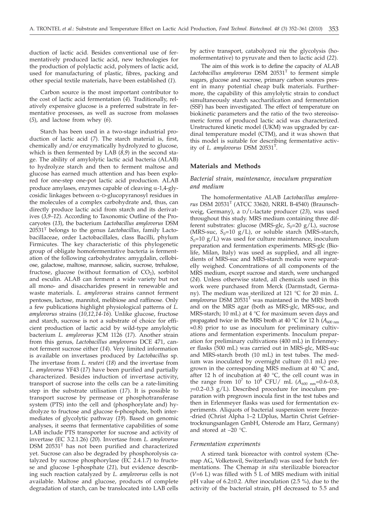duction of lactic acid. Besides conventional use of fermentatively produced lactic acid, new technologies for the production of polylactic acid, polymers of lactic acid, used for manufacturing of plastic, fibres, packing and other special textile materials, have been established (*1*).

Carbon source is the most important contributor to the cost of lactic acid fermentation (*4*). Traditionally, relatively expensive glucose is a preferred substrate in fermentative processes, as well as sucrose from molasses (*5*), and lactose from whey (*6*).

Starch has been used in a two-stage industrial production of lactic acid (*7*). The starch material is, first, chemically and/or enzymatically hydrolyzed to glucose, which is then fermented by LAB (*8,9*) in the second stage. The ability of amylolytic lactic acid bacteria (ALAB) to hydrolyze starch and then to ferment maltose and glucose has earned much attention and has been explored for one-step one-pot lactic acid production. ALAB produce amylases, enzymes capable of cleaving  $\alpha$ -1,4-glycosidic linkages between a-D-glucopyranosyl residues in the molecules of a complex carbohydrate and, thus, can directly produce lactic acid from starch and its derivatives (*3,9–12*). According to Taxonomic Outline of the Procaryotes (*13*), the bacterium *Lactobacillus amylovorus* DSM 20531T belongs to the genus *Lactobacillus*, family Lactobacillaceae, order Lactobacillales, class Bacilli, phylum Firmicutes. The key characteristic of this phylogenetic group of obligate homofermentative bacteria is fermentation of the following carbohydrates: amygdalin, cellobiose, galactose, maltose, mannose, salicin, sucrose, trehalose, fructose, glucose (without formation of  $CO<sub>2</sub>$ ), sorbitol and esculin. ALAB can ferment a wide variety but not all mono- and disaccharides present in renewable and waste materials. *L. amylovorus* strains cannot ferment pentoses, lactose, mannitol, melibiose and raffinose. Only a few publications highlight physiological patterns of *L. amylovorus* strains (*10,12,14-16*). Unlike glucose, fructose and starch, sucrose is not a substrate of choice for efficient production of lactic acid by wild-type amylolytic bacterium *L. amylovorus* JCM 1126 (*17*). Another strain from this genus, *Lactobacillus amylovorus* DCE 471, cannot ferment sucrose either (*14*). Very limited information is available on invertases produced by *Lactobacillus* sp. The invertase from *L. reuteri* (*18*) and the invertase from *L. amylovorus* YF43 (*17*) have been purified and partially characterized. Besides induction of invertase activity, transport of sucrose into the cells can be a rate-limiting step in the substrate utilisation (*17*). It is possible to transport sucrose by permease or phosphotransferase system (PTS) into the cell and (phosphorylate and) hydrolyze to fructose and glucose 6-phosphate, both intermediates of glycolytic pathway (*19*). Based on genomic analyses, it seems that fermentative capabilities of some LAB include PTS transporter for sucrose and activity of invertase (EC 3.2.1.26) (*20*). Invertase from *L. amylovorus* DSM 20531T has not been purified and characterized yet. Sucrose can also be degraded by phosphorolysis catalyzed by sucrose phosphorylase (EC 2.4.1.7) to fructose and glucose 1-phosphate (*21*), but evidence describing such reaction catalyzed by *L. amylovorus* cells is not available. Maltose and glucose, products of complete degradation of starch, can be translocated into LAB cells

by active transport, catabolyzed *via* the glycolysis (homofermentative) to pyruvate and then to lactic acid (*22*).

The aim of this work is to define the capacity of ALAB Lactobacillus amylovorus DSM 20531<sup>T</sup> to ferment simple sugars, glucose and sucrose, primary carbon sources present in many potential cheap bulk materials. Furthermore, the capability of this amylolytic strain to conduct simultaneously starch saccharification and fermentation (SSF) has been investigated. The effect of temperature on biokinetic parameters and the ratio of the two stereoisomeric forms of produced lactic acid was characterized. Unstructured kinetic model (UKM) was upgraded by cardinal temperature model (CTM), and it was shown that this model is suitable for describing fermentative activity of *L. amylovorus* DSM 20531<sup>T</sup>.

### **Materials and Methods**

# *Bacterial strain, maintenance, inoculum preparation and medium*

The homofermentative ALAB *Lactobacillus amylovorus* DSM 20531T (ATCC 33620, NRRL B-4540) (Braunschweig, Germany), a D/L-lactate producer (*23*), was used throughout this study. MRS medium containing three different substrates: glucose (MRS-glc,  $S_0$ =20 g/L), sucrose (MRS-suc,  $S_0$ =10 g/L), or soluble starch (MRS-starch,  $S_0$ =10 g/L) was used for culture maintenance, inoculum preparation and fermentation experiments. MRS-glc (Biolife, Milan, Italy) was used as supplied, and all ingredients of MRS-suc and MRS-starch media were separatelly weighed. Concentrations of all components of the MRS medium, except sucrose and starch, were unchanged (*24*). Unless otherwise stated, all chemicals used in this work were purchased from Merck (Darmstadt, Germany). The medium was sterilized at 121 °C for 20 min. *L. amylovorus* DSM 20531T was maintaned in the MRS broth and on the MRS agar (both as MRS-glc, MRS-suc, and MRS-starch; 10 mL) at 4 °C for maximum seven days and propagated twice in the MRS broth at 40 °C for 12 h  $(A_{600 \text{ nm}})$  $\approx$ 0.8) prior to use as inoculum for preliminary cultivations and fermentation experiments. Inoculum preparation for preliminary cultivations (400 mL) in Erlenmeyer flasks (500 mL) was carried out in MRS-glc, MRS-suc and MRS-starch broth (10 mL) in test tubes. The medium was inoculated by overnight culture (0.1 mL) pregrown in the corresponding MRS medium at 40 °C and, after 12 h of incubation at  $40 °C$ , the cell count was in the range from  $10^7$  to  $10^8$  CFU/ mL ( $A_{600 \text{ nm}}$ =0.6–0.8,  $\gamma$ =0.2–0.3 g/L). Described procedure for inoculum preparation with pregrown inocula first in the test tubes and then in Erlenmeyer flasks was used for fermentation experiments. Aliquots of bacterial suspension were freeze- -dried (Christ Alpha 1–2 LDplus, Martin Christ Gefriertrocknungsanlagen GmbH, Osterode am Harz, Germany) and stored at  $-20$  °C.

### *Fermentation experiments*

A stirred tank bioreactor with control system (Chemap AG, Volketswil, Switzerland) was used for batch fermentations. The Chemap *in situ* sterilizable bioreactor ( $V=6$  L) was filled with  $\bar{5}$  L of MRS medium with initial pH value of 6.2±0.2. After inoculation (2.5 %), due to the activity of the bacterial strain, pH decreased to 5.5 and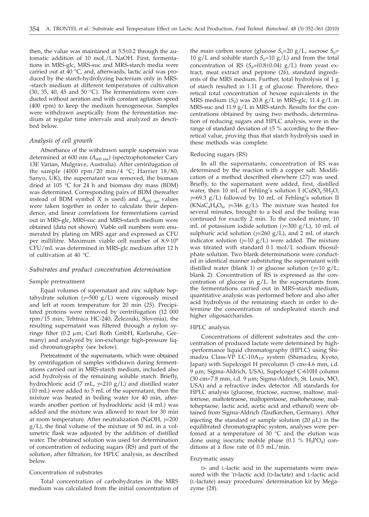then, the value was maintaned at 5.5±0.2 through the automatic addition of 10 moL/L NaOH. First, fermentations in MRS-glc, MRS-suc and MRS-starch media were carried out at 40 °C, and, afterwards, lactic acid was produced by the starch-hydrolyzing bacterium only in MRS- -starch medium at different temperatures of cultivation (30, 35, 40, 45 and 50  $^{\circ}$ C). The fermentations were conducted without aeration and with constant agitation speed (400 rpm) to keep the medium homogeneous. Samples were withdrawn aseptically from the fermentation medium at regular time intervals and analyzed as described below.

### *Analysis of cell growth*

Absorbance of the withdrawn sample suspension was determined at 600 nm ( $A_{600 \text{ nm}}$ ) (spectrophotometer Cary 13E Varian, Mulgrave, Australia). After centrifugation of the sample (4000 rpm/20 min/4 °C; Harrier 18/80, Sanyo, UK), the supernatant was removed, the biomass dried at 105 °C for 24 h and biomass dry mass (BDM) was determined. Corresponding pairs of BDM (hereafter instead of BDM symbol *X* is used) and  $A_{600 \text{ nm}}$  values were taken together in order to calculate their dependence, and linear correlations for fermentations carried out in MRS-glc, MRS-suc and MRS-starch medium were obtained (data not shown). Viable cell numbers were enumerated by plating on MRS agar and expressed as CFU per millilitre. Maximum viable cell number of 8.9·109 CFU/mL was determined in MRS-glc medium after 12 h of cultivation at 40 °C.

### *Substrates and product concentration determination*

### Sample pretreatment

Equal volumes of supernatant and zinc sulphate heptahydrate solution  $(y=500 \text{ g/L})$  were vigorously mixed and left at room temperature for 20 min (*25*). Precipitated proteins were removed by centrifugation (12 000 rpm/15 min; Tehtnica HC-240, Železniki, Slovenia), the resulting supernatant was filtered through a nylon syringe filter (0.2 mm; Carl Roth GmbH, Karlsruhe, Germany) and analyzed by ion-exchange high-pressure liquid chromatography (see below).

Pretreatment of the supernatants, which were obtained by centrifugation of samples withdrawn during fermentations carried out in MRS-starch medium, included also acid hydrolysis of the remaining soluble starch. Briefly, hydrochloric acid (7 mL, *g*=210 g/L) and distilled water (10 mL) were added to 5 mL of the supernatant, then the mixture was heated in boiling water for 40 min, afterwards another portion of hydrochloric acid (4 mL) was added and the mixture was allowed to react for 30 min at room temperature. After neutralization (NaOH, *g*=200  $g/L$ ), the final volume of the mixture of 50 mL in a volumetric flask was adjusted by the addition of distilled water. The obtained solution was used for determination of concentration of reducing sugars (RS) and part of the solution, after filtration, for HPLC analysis, as described below.

### Concentration of substrates

Total concentration of carbohydrates in the MRS medium was calculated from the initial concentration of the main carbon source (glucose  $S_0=20$  g/L, sucrose  $S_0=$ 10 g/L and soluble starch  $S_0$ =10 g/L) and from the total concentration of RS  $(S_0=(0.8\pm0.04) \text{ g/L})$  from yeast extract, meat extract and peptone (*26*), standard ingredients of the MRS medium. Further, total hydrolysis of 1 g of starch resulted in 1.11 g of glucose. Therefore, theoretical total concentration of hexose equivalents in the MRS medium  $(S_0)$  was 20.8 g/L in MRS-glc, 11.4 g/L in MRS-suc and 11.9 g/L in MRS-starch. Results for the concentrations obtained by using two methods, determination of reducing sugars and HPLC analysis, were in the range of standard deviation of  $\pm 5$  % according to the theoretical value, proving thus that starch hydrolysis used in these methods was complete.

#### Reducing sugars (RS)

In all the supernatants, concentration of RS was determined by the reaction with a copper salt. Modification of a method described elsewhere (*27*) was used. Briefly, to the supernatant were added, first, distilled water, then 10 mL of Fehling's solution I ( $CuSO<sub>4</sub>$ :5H<sub>2</sub>O, *g*=69.3 g/L) followed by 10 mL of Fehling's solution II (KNaC<sub>4</sub>H<sub>4</sub>O<sub>6</sub>,  $\gamma$ =346 g/L). The mixture was heated for several minutes, brought to a boil and the boiling was continued for exactly 2 min. To the cooled mixture, 10 mL of potassium iodide solution (*g*=300 g/L), 10 mL of sulphuric acid solution (*g*=260 g/L), and 2 mL of starch indicator solution ( $\gamma$ =10 g/L) were added. The mixture was titrated with standard 0.1 mol/L sodium thiosulphate solution. Two blank determinations were conducted in identical manner substituting the supernatant with distilled water (blank 1) or glucose solution  $(\gamma=10 \text{ g/L})$ ; blank 2). Concentration of RS is expressed as the concentration of glucose in g/L. In the supernatants from the fermentations carried out in MRS-starch medium, quantitative analysis was performed before and also after acid hydrolysis of the remaining starch in order to determine the concentration of undepleated starch and higher oligosaccharides.

# HPLC analysis

Concentrations of different substrates and the concentration of produced lactate were determined by high- -performance liquid chromatography (HPLC) using Shimadzu Class-VP LC-10A<sub>VP</sub> system (Shimadzu, Kyoto, Japan) with Supelcogel H precolumn (5 cm×4.6 mm, i.d. 9 µm; Sigma-Aldrich, USA), Supelcogel C-610H column (30 cm $\times$ 7.8 mm, i.d. 9 µm; Sigma-Aldrich, St. Louis, MO, USA) and a refractive index detector. All standards for HPLC analysis (glucose, fructose, sucrose, maltose, maltotriose, maltotetraose, maltopentaose, maltohexaose, maltoheptaose, lactic acid, acetic acid and ethanol) were obtained from Sigma-Aldrich (Taufkirchen, Germany). After injecting the standard or sample solution  $(20 \mu L)$  in the equilibrated chromatographic system, analyses were perfomed at a temperature of  $30^{\circ}$ C and the elution was done using isocratic mobile phase  $(0.1 \% H_3PO_4)$  conditions at a flow rate of 0.5 mL/min.

#### Enzymatic assay

D- and L-lactic acid in the supernatants were measured with the 'D-lactic acid (D-lactate) and L-lactic acid (L-lactate) assay procedures' determination kit by Megazyme (*28*).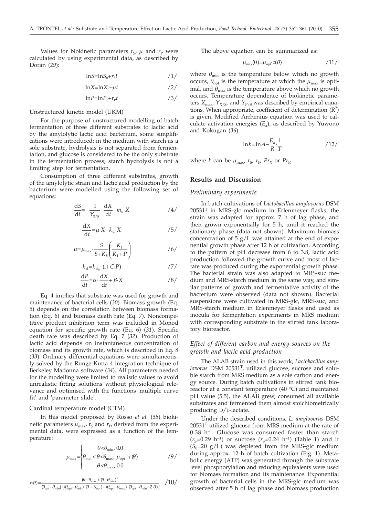Values for biokinetic parameters  $r_S$ ,  $\mu$  and  $r_P$  were calculated by using experimental data, as described by Doran (*29*):

$$
lnS = lnS_0 + r_S t \qquad \qquad /1/
$$

$$
\ln X = \ln X_0 + \mu t \tag{2/}
$$

$$
ln P = ln P_0 + r_p t \tag{3/}
$$

Unstructured kinetic model (UKM)

For the purpose of unstructured modelling of batch fermentation of three different substrates to lactic acid by the amylolytic lactic acid bacterium, some simplifications were introduced: in the medium with starch as a sole substrate, hydrolysis is not separated from fermentation, and glucose is considered to be the only substrate in the fermentation process; starch hydrolysis is not a limiting step for fermentation.

Consumption of three different substrates, growth of the amylolytic strain and lactic acid production by the bacterium were modelled using the following set of equations:

$$
\frac{\mathrm{d}S}{\mathrm{d}t} = -\frac{1}{Y_{X/S}} \cdot \frac{\mathrm{d}X}{\mathrm{d}t} - m_s \cdot X \tag{4/2}
$$

$$
\frac{\mathrm{d}X}{\mathrm{d}t} = \mu \cdot X - k_{\mathrm{d}} \cdot X \tag{5}
$$

$$
\mu = \mu_{\text{max}} \cdot \frac{S}{S + K_{\text{s}}} \left( \frac{K_1}{K_1 + P} \right) \tag{6}
$$

$$
k_{\rm d} = k_{\rm d_0} \cdot (\mathbf{I} + \mathbf{C} \cdot \mathbf{P}) \tag{7/}
$$

$$
\frac{dP}{dt} = \alpha \cdot \frac{dX}{dt} + \beta \cdot X \tag{8/}
$$

Eq. 4 implies that substrate was used for growth and maintenance of bacterial cells (*30*). Biomass growth (Eq. 5) depends on the correlation between biomass formation (Eq. 6) and biomass death rate (Eq. 7). Noncompetitive product inhibition term was included in Monod equation for specific growth rate (Eq. 6) (*31*). Specific death rate was described by Eq. 7 (*32*). Production of lactic acid depends on instantaneous concentration of biomass and its growth rate, which is described in Eq. 8 (*33*). Ordinary differential equations were simultaneously solved by the Runge-Kutta 4 integration technique of Berkeley Madonna software (*34*). All parameters needed for the modelling were limited to realistic values to avoid unrealistic fitting solutions without physiological relevance and optimised with the functions 'multiple curve fit' and 'parameter slide'.

# Cardinal temperature model (CTM)

In this model proposed by Rosso *et al.* (*35*) biokinetic parameters  $\mu_{\text{max}}$ ,  $r_S$  and  $r_P$ , derived from the experimental data, were expressed as a function of the temperature:

$$
\mu_{\max} = \begin{cases}\n\theta < \theta_{\min}, \quad 0.0 \\
\theta_{\min} < \theta < \theta_{\max}, \quad \mu_{\text{opt}} \cdot \tau(\theta) \\
\theta < \theta_{\max}, \quad 0.0\n\end{cases} \tag{9/}
$$

$$
\tau(\theta) = \frac{(\theta - \theta_{\max}) \cdot (\theta - \theta_{\min})^2}{(\theta_{\rm opt} - \theta_{\min}) \cdot [\theta_{\rm opt} - \theta_{\rm min}) \cdot (\theta - \theta_{\rm opt}) - (\theta_{\rm opt} - \theta_{\max}) \cdot (\theta_{\rm opt} + \theta_{\min} - 2 \cdot \theta)]} \quad / 10 /
$$

The above equation can be summarized as:

$$
\mu_{\max}(\theta) = \mu_{\rm opt} \cdot \tau(\theta) \tag{11}
$$

where  $\theta_{\min}$  is the temperature below which no growth occurs,  $\theta_{opt}$  is the temperature at which the  $\mu_{max}$  is optimal, and  $\theta_{\text{max}}$  is the temperature above which no growth occurs. Temperature dependence of biokinetic parameters  $X_{\text{max}}$ ,  $Y_{X/S}$ , and  $Y_{P/S}$  was described by empirical equations. When appropriate, coefficient of determination  $(R^2)$ is given. Modified Arrhenius equation was used to calculate activation energies  $(E_a)$ , as described by Yuwono and Kokugan (*36*):

$$
\ln k = \ln A - \frac{E_a}{R} \cdot \frac{1}{T}
$$

where *k* can be  $\mu_{\text{max}}$ ,  $r_{\text{S}}$ ,  $r_{\text{P}}$ ,  $Pr_{\text{X}}$  or  $Pr_{\text{P}}$ .

# **Results and Discussion**

### *Preliminary experiments*

In batch cultivations of *Lactobacillus amylovorus* DSM  $20531<sup>T</sup>$  in MRS-glc medium in Erlenmeyer flasks, the strain was adapted for approx. 7 h of lag phase, and then grown exponentially for 5 h, until it reached the stationary phase (data not shown). Maximum biomass concentration of  $5 g/L$  was attained at the end of exponential growth phase after 12 h of cultivation. According to the pattern of pH decrease from 6 to 3.8, lactic acid production followed the growth curve and most of lactate was produced during the exponential growth phase. The bacterial strain was also adapted to MRS-suc medium and MRS-starch medium in the same way, and similar patterns of growth and fermentative activity of the bacterium were observed (data not shown). Bacterial suspensions were cultivated in MRS-glc, MRS-suc, and MRS-starch medium in Erlenmeyer flasks and used as inocula for fermentation experiments in MRS medium with corresponding substrate in the stirred tank laboratory bioreactor.

# *Effect of different carbon and energy sources on the growth and lactic acid production*

The ALAB strain used in this work, *Lactobacillus amylovorus* DSM 20531T, utilized glucose, sucrose and soluble starch from MRS medium as a sole carbon and energy source. During batch cultivations in stirred tank bioreactor at a constant temperature (40 °C) and maintaned pH value (5.5), the ALAB grew, consumed all available substrates and fermented them almost stoichiometrically producing D/L-lactate.

Under the described conditions, *L. amylovorus* DSM  $20531<sup>T</sup>$  utilized glucose from MRS medium at the rate of  $0.38$  h<sup>-1</sup>. Glucose was consumed faster than starch  $(r<sub>S</sub>=0.29 h<sup>-1</sup>)$  or sucrose  $(r<sub>S</sub>=0.24 h<sup>-1</sup>)$  (Table 1) and it  $(S<sub>0</sub>=20 g/L)$  was depleted from the MRS-glc medium during approx. 12 h of batch cultivation (Fig. 1). Metabolic energy (ATP) was generated through the substrate level phosphorylation and reducing equivalents were used for biomass formation and its maintenance. Exponential growth of bacterial cells in the MRS-glc medium was observed after 5 h of lag phase and biomass production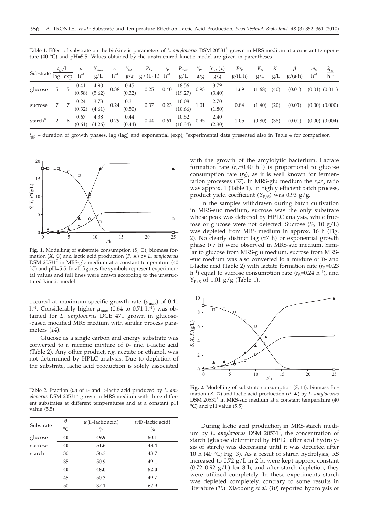| Table 1. Effect of substrate on the biokinetic parameters of L. amylovorus DSM 20531 <sup>1</sup> grown in MRS medium at a constant tempera- |  |
|----------------------------------------------------------------------------------------------------------------------------------------------|--|
| ture (40 $^{\circ}$ C) and pH=5.5. Values obtained by the unstructured kinetic model are given in parentheses                                |  |

| Substrate <sup>-</sup> |   | $t_{\rm gp}$ /h | $\mu$<br>$\overline{\text{lag}}$ exp $\overline{\text{h}^{-1}}$ | $\frac{X_{\text{max}}}{g/L}$ $\frac{r_S}{h^{-1}}$ |      | $Y_{X/S}$                                                | $Pr_{\mathbf{x}}$<br>$\frac{g}{g}$ $\frac{g}{(L \cdot h)}$ $\frac{h^{-1}}{h^{-1}}$                                      | $r_{\rm p}$ | $P_{\text{max}}$<br>g/L | $Y_{P/S}$<br>g/g | $Y_{P/X}(\alpha)$<br>g/g | $Pr_{\rm P}$<br>$g/(L \cdot h)$ | $K_{S}$<br>g/L | $K_I$<br>g/L | $g/(g \cdot h)$ | $m_{\rm c}$<br>$h^{-1}$ | $k_{D_0}$<br>$h^{-1}$ |
|------------------------|---|-----------------|-----------------------------------------------------------------|---------------------------------------------------|------|----------------------------------------------------------|-------------------------------------------------------------------------------------------------------------------------|-------------|-------------------------|------------------|--------------------------|---------------------------------|----------------|--------------|-----------------|-------------------------|-----------------------|
| glucose                | 5 |                 | 0.41<br>(0.58)                                                  | 4.90<br>(5.62)                                    |      | $0.38 \quad \begin{array}{c} 0.45 \\ (0.32) \end{array}$ | 0.25 0.40 $\begin{array}{cc} 18.56 & 0.93 \\ (19.27) & 0.93 \end{array}$ $\begin{array}{cc} 3.79 \\ (3.40) \end{array}$ |             |                         |                  |                          | 1.69                            | (1.68)         | (40)         | (0.01)          |                         | $(0.01)$ $(0.011)$    |
| sucrose                |   |                 |                                                                 | $0.24$ 3.73<br>$(0.32)$ $(4.61)$                  |      | $0.24 \quad \begin{array}{c} 0.31 \\ (0.50) \end{array}$ | 0.37 0.23 $\begin{array}{cc} 10.08 \\ (10.66) \end{array}$ 1.01 2.70<br>(1.80)                                          |             |                         |                  |                          | 0.84                            | (1.40)         | (20)         | (0.03)          |                         | $(0.00)$ $(0.000)$    |
| starch <sup>a</sup>    |   |                 | 0.67                                                            | 4.38<br>$(0.61)$ $(4.26)$                         | 0.29 | 0.44<br>(0.44)                                           | 0.44                                                                                                                    | 0.61        | 10.52<br>(10.34)        | 0.95             | 2.40<br>(2.30)           | 1.05                            | (0.80)         | (38)         | (0.01)          |                         | $(0.00)$ $(0.004)$    |

 $t_{gp}$  – duration of growth phases, lag (lag) and exponential (exp); <sup>a</sup>experimental data presented also in Table 4 for comparison



**Fig. 1.** Modelling of substrate consumption  $(S, \Box)$ , biomass formation (*X*, ○) and lactic acid production (*P*, ▲) by *L. amylovorus* DSM 20531 $^T$  in MRS-glc medium at a constant temperature (40 °C) and pH=5.5. In all figures the symbols represent experimental values and full lines were drawn according to the unstructured kinetic model

occured at maximum specific growth rate  $(\mu_{\text{max}})$  of 0.41 h<sup>-1</sup>. Considerably higher  $\mu_{\text{max}}$  (0.64 to 0.71 h<sup>-1</sup>) was obtained for *L. amylovorus* DCE 471 grown in glucose- -based modified MRS medium with similar process parameters (*14*).

Glucose as a single carbon and energy substrate was converted to a racemic mixture of D- and L-lactic acid (Table 2). Any other product, *e.g.* acetate or ethanol, was not determined by HPLC analysis. Due to depletion of the substrate, lactic acid production is solely associated

Table 2. Fraction (*w*) of L- and D-lactic acid produced by *L. amylovorus* DSM 20531<sup>T</sup> grown in MRS medium with three different substrates at different temperatures and at a constant pH value (5.5)

| Substrate | $\theta$<br>$\overline{C}$ | $w$ (L-lactic acid)<br>$\%$ | $w(D$ -lactic acid)<br>$\frac{0}{0}$ |
|-----------|----------------------------|-----------------------------|--------------------------------------|
| glucose   | 40                         | 49.9                        | 50.1                                 |
| sucrose   | 40                         | 51.6                        | 48.4                                 |
| starch    | 30                         | 56.3                        | 43.7                                 |
|           | 35                         | 50.9                        | 49.1                                 |
|           | 40                         | 48.0                        | 52.0                                 |
|           | 45                         | 50.3                        | 49.7                                 |
|           | 50                         | 37.1                        | 62.9                                 |

with the growth of the amylolytic bacterium. Lactate formation rate  $(r_P=0.40 \text{ h}^{-1})$  is proportional to glucose consumption rate  $(r<sub>S</sub>)$ , as it is well known for fermentation processes (37). In MRS-glu medium the  $r<sub>P</sub>:r<sub>S</sub>$  ratio was approx. 1 (Table 1). In highly efficient batch process, product yield coefficient  $(Y_{P/S})$  was 0.93 g/g.

In the samples withdrawn during batch cultivation in MRS-suc medium, sucrose was the only substrate whose peak was detected by HPLC analysis, while fructose or glucose were not detected. Sucrose  $(S_0=10 \text{ g/L})$ was depleted from MRS medium in approx. 16 h (Fig. 2). No clearly distinct lag  $(\approx 7 \text{ h})$  or exponential growth phase (»7 h) were observed in MRS-suc medium. Similar to glucose from MRS-glu medium, sucrose from MRS- -suc medium was also converted to a mixture of D- and L-lactic acid (Table 2) with lactate formation rate  $(r_P=0.23$  $h^{-1}$ ) equal to sucrose consumption rate ( $r_s$ =0.24 h<sup>-1</sup>), and  $Y_{P/S}$  of 1.01 g/g (Table 1).



**Fig. 2.** Modelling of substrate consumption  $(S, \Box)$ , biomass formation  $(X, \circ)$  and lactic acid production  $(P, \triangle)$  by *L. amylovorus*  $DSM$  20531<sup>T</sup> in MRS-suc medium at a constant temperature (40 °C) and pH value (5.5)

During lactic acid production in MRS-starch medium by *L. amylovorus* DSM 20531T , the concentration of starch (glucose determined by HPLC after acid hydrolysis of starch) was decreasing until it was depleted after 10 h (40 °C; Fig. 3). As a result of starch hydrolysis, RS increased to 0.72 g/L in 2 h, were kept approx. constant  $(0.72-0.92 \text{ g/L})$  for 8 h, and after starch depletion, they were utilized completely. In these experiments starch was depleted completely, contrary to some results in literature (*10*). Xiaodong *et al.* (*10*) reported hydrolysis of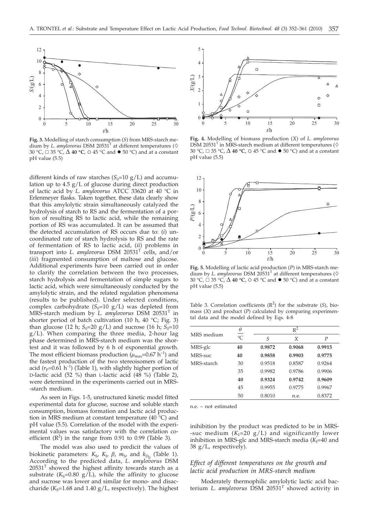

**Fig. 3.** Modelling of starch consumption (*S*) from MRS-starch medium by *L. amylovorus* DSM 20531<sup>T</sup> at different temperatures ( $\diamond$ 30 °C,  $\Box$  35 °C,  $\Delta$  40 °C,  $\odot$  45 °C and  $\bullet$  50 °C) and at a constant pH value (5.5)

different kinds of raw starches  $(S_0=10 \text{ g/L})$  and accumulation up to 4.5 g/L of glucose during direct production of lactic acid by *L. amylovorus* ATCC 33620 at 40 °C in Erlenmeyer flasks. Taken together, these data clearly show that this amylolytic strain simultaneously catalyzed the hydrolysis of starch to RS and the fermentation of a portion of resulting RS to lactic acid, while the remaining portion of RS was accumulated. It can be assumed that the detected accumulation of RS occurs due to: (*i*) uncoordinated rate of starch hydrolysis to RS and the rate of fermentation of RS to lactic acid, (*ii*) problems in transport into *L. amylovorus* DSM 20531T cells, and/or (*iii*) fragmented consumption of maltose and glucose. Additional experiments have been carried out in order to clarify the correlation between the two processes, starch hydrolysis and fermentation of simple sugars to lactic acid, which were simultaneously conducted by the amylolytic strain, and the related regulation phenomena (results to be published). Under selected conditions, complex carbohydrate  $(S_0=10 \text{ g/L})$  was depleted from MRS-starch medium by *L. amylovorus* DSM 20531<sup>T</sup> in shorter period of batch cultivation (10 h, 40  $^{\circ}$ C; Fig. 3) than glucose (12 h;  $S_0$ =20 g/L) and sucrose (16 h;  $S_0$ =10 g/L). When comparing the three media, 2-hour lag phase determined in MRS-starch medium was the shortest and it was followed by 6 h of exponential growth. The most efficient biomass production ( $\mu_{\text{max}}$ =0.67 h<sup>-1</sup>) and the fastest production of the two stereoisomers of lactic acid  $(r_P=0.61 \text{ h}^{-1})$  (Table 1), with slightly higher portion of D-lactic acid (52 %) than L-lactic acid (48 %) (Table 2), were determined in the experiments carried out in MRS- -starch medium.

As seen in Figs. 1-5, unstructured kinetic model fitted experimental data for glucose, sucrose and soluble starch consumption, biomass formation and lactic acid production in MRS medium at constant temperature (40 °C) and pH value (5.5). Correlation of the model with the experimental values was satisfactory with the correlation coefficient  $(R^2)$  in the range from 0.91 to 0.99 (Table 3).

The model was also used to predicit the values of biokinetic parameters:  $K_{S}$ ,  $K_{I}$ ,  $\beta$ ,  $m_{S}$ , and  $k_{D}$  (Table 1). According to the predicted data, *L. amylovorus* DSM  $20531<sup>T</sup>$  showed the highest affinity towards starch as a substrate ( $K_S$ =0.80 g/L), while the affinity to glucose and sucrose was lower and similar for mono- and disaccharide ( $K_S$ =1.68 and 1.40 g/L, respectively). The highest



**Fig. 4.** Modelling of biomass production (*X*) of *L. amylovorus* DSM 20531<sup>T</sup> in MRS-starch medium at different temperatures ( $\diamond$ 30 °C, 35 °C, ∆ **40 °C**, 45 °C and 50 °C) and at a constant pH value (5.5)



**Fig. 5.** Modelling of lactic acid production (*P*) in MRS-starch medium by *L. amylovorus* DSM 20531<sup>T</sup> at different temperatures ( $\diamond$ 30 °C, 35 °C, ∆ **40 °C**, 45 °C and 50 °C) and at a constant pH value (5.5)

Table 3. Correlation coefficients  $(R^2)$  for the substrate  $(S)$ , biomass (*X*) and product (*P*) calculated by comparing experimental data and the model defined by Eqs. 4-8

|            | $\theta$       | $R^2$  |        |                  |  |  |  |  |
|------------|----------------|--------|--------|------------------|--|--|--|--|
| MRS medium | $\overline{C}$ | S      | X      | $\boldsymbol{P}$ |  |  |  |  |
| MRS-glc    | 40             | 0.9872 | 0.9068 | 0.9915           |  |  |  |  |
| MRS-suc    | 40             | 0.9858 | 0.9903 | 0.9775           |  |  |  |  |
| MRS-starch | 30             | 0.9518 | 0.8587 | 0.9264           |  |  |  |  |
|            | 35             | 0.9982 | 0.9786 | 0.9906           |  |  |  |  |
|            | 40             | 0.9324 | 0.9742 | 0.9609           |  |  |  |  |
|            | 45             | 0.9955 | 0.9775 | 0.9967           |  |  |  |  |
|            | 50             | 0.8010 | n.e.   | 0.8372           |  |  |  |  |

n.e. – not estimated

inihibition by the product was predicted to be in MRS- -suc medium  $(K<sub>I</sub>=20 g/L)$  and significantly lower inhibition in MRS-glc and MRS-starch media  $(K<sub>I</sub>=40$  and 38 g/L, respectively).

# *Effect of different temperatures on the growth and lactic acid production in MRS-starch medium*

Moderately thermophilic amylolytic lactic acid bacterium *L. amylovorus* DSM 20531T showed activity in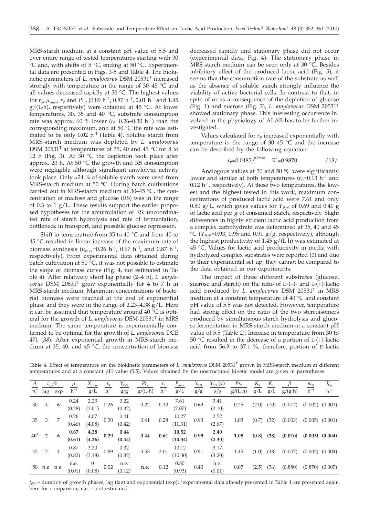MRS-starch medium at a constant pH value of 5.5 and over entire range of tested temperatures starting with 30 °C and, with shifts of 5 °C, ending at 50 °C. Experimental data are presented in Figs. 3-5 and Table 4. The biokinetic parameters of *L. amylovorus* DSM 20531T increased strongly with temperature in the range of 30–45 °C and all values decreased rapidly at 50 °C. The highest values for  $r_{\rm S}$ ,  $\mu_{\rm max}$ ,  $r_{\rm P}$  and  $Pr_{\rm P}$  (0.89 h<sup>-1</sup>, 0.87 h<sup>-1</sup>, 2.01 h<sup>-1</sup> and 1.45  $g/(L \cdot h)$ , respectively) were obtained at 45 °C. At lower temperatures, 30, 35 and 40 °C, substrate consumption rate was approx. 60 % lower  $(r<sub>S</sub>=0.26-0.30 h<sup>-1</sup>)$  than the corresponding maximum, and at 50 °C the rate was estimated to be only  $0.02$  h<sup>-1</sup> (Table 4). Soluble starch from MRS-starch medium was depleted by *L. amylovorus* DSM 20531<sup>T</sup> at temperatures of 35, 40 and 45 °C for 8 to 12 h (Fig. 3). At 30 °C the depletion took place after approx. 20 h. At 50  $\degree$ C the growth and RS consumption were negligible although significant amylolytic activity took place. Only  $\approx$  24 % of soluble starch were used from MRS-starch medium at 50 °C. During batch cultivations carried out in MRS-starch medium at 30–45 °C, the concentration of maltose and glucose (RS) was in the range of 0.3 to 1 g/L. These results support the earlier proposed hypotheses for the accumulation of RS: uncoordinated rate of starch hydrolysis and rate of fermentation, bottleneck in transport, and possible glucose repression.

Shift in temperature from 35 to 40 °C and from 40 to 45 °C resulted in linear increase of the maximum rate of biomass synthesis ( $\mu_{\text{max}}$ =0.26 h<sup>-1</sup>, 0.67 h<sup>-1</sup>, and 0.87 h<sup>-1</sup>, respectively). From experimental data obtained during batch cultivation at 50 $\degree$ C, it was not possible to estimate the slope of biomass curve (Fig. 4, not estimated in Table 4). After relatively short lag phase (2–4 h), *L. amylovorus* DSM 20531T grew exponentially for 4 to 7 h in MRS-starch medium. Maximum concentrations of bacterial biomass were reached at the end of exponential phase and they were in the range of 2.23–4.38 g/L. Here it can be assumed that temperature around  $40 °C$  is optimal for the growth of *L. amylovorus* DSM 20531T in MRS medium. The same temperature is experimentally confirmed to be optimal for the growth of *L. amylovorus* DCE 471 (*38*). After exponential growth in MRS-starch medium at 35, 40, and 45  $^{\circ}$ C, the concentration of biomass

decreased rapidly and stationary phase did not occur (experimental data; Fig. 4). The stationary phase in MRS-starch medium can be seen only at 30 °C. Besides inhibitory effect of the produced lactic acid (Fig. 5), it seems that the consumption rate of the substrate as well as the absence of soluble starch strongly influence the viability of active bacterial cells. In contrast to that, in spite of or as a consequence of the depletion of glucose (Fig. 1) and sucrose (Fig. 2), *L. amylovorus* DSM 20531T showed stationary phase. This interesting occurrence involved in the physiology of ALAB has to be further investigated.

Values calculated for  $r_{\rm P}$  increased exponentially with temperature in the range of 30–45 °C and the increase can be described by the following equation:

$$
r_{\rm P} = 0.0485 \mathrm{e}^{0.8994\theta} \quad \mathrm{R}^2 = 0.9870 \quad /13/
$$

Analogous values at 30 and 50 °C were significantly lower and similar at both temperatures ( $r_P$ =0.13 h<sup>-1</sup> and  $0.12$  h<sup>-1</sup>, respectively). At these two temperatures, the lowest and the highest tested in this work, maximum concentrations of produced lactic acid were 7.61 and only 0.80 g/L, which gives values for  $Y_{P/S}$  of 0.69 and 0.40 g of lactic acid per g of consumed starch, respectively. Slight differences in highly efficient lactic acid production from a complex carbohydrate was determined at 35, 40 and 45 °C ( $Y_{P/S}$ =0.93, 0.95 and 0.91 g/g, respectively), although the highest productivity of 1.45  $g/(L \cdot h)$  was estimated at 45 °C. Values for lactic acid productivity in media with hydrolyzed complex substrates were reported (*1*) and due to their experimental set up, they cannot be compared to the data obtained in our experiments.

The impact of three different substrates (glucose, sucrose and starch) on the ratio of  $D-(-)$ - and  $L-(+)$ -lactic acid produced by *L. amylovorus* DSM 20531T in MRS medium at a constant temperature of 40 °C and constant pH value of 5.5 was not detected. However, temperature had strong effect on the ratio of the two stereoisomers produced by simultaneous starch hydrolysis and glucose fermentation in MRS-starch medium at a constant pH value of 5.5 (Table 2). Increase in temperature from 30 to 50  $\degree$ C resulted in the decrease of a portion of L-(+)-lactic acid from 56.3 to 37.1 %, therefore, portion of D-lactic

Table 4. Effect of temperature on the biokinetic parameters of *L. amylovorus* DSM 20531<sup>T</sup> grown in MRS-starch medium at different temperatures and at a constant pH value (5.5). Values obtained by the unstructured kinetic model are given in parentheses

| $\theta$<br>$^{\circ}C$ | lag            | $t_{\rm gp}^{\phantom{\dag}}/\rm h$<br>exp | $\mu$<br>$h^{-1}$ | $X_{\text{max}}$<br>g/L | $r_{\rm s}$<br>$h^{-1}$ | $Y_{\chi_{\rm /S}}$<br>g/g | $Pr_{\rm x}$<br>$g/(L \cdot h)$ | $r_{\rm P}$<br>$h^{-1}$ | $P_{\text{max}}$<br>g/L | $Y_{\rm P/S}$<br>g/g | $Y_{P/X}(\alpha)$<br>g/g | $Pr_{\rm p}$<br>$g/(L \cdot h)$ | $K_{S}$<br>g/L | $K_{\rm r}$<br>g/L | $g/(g \cdot h)$ | $m_{\rm S}$<br>$h^{-1}$ | $\frac{k_{D_0}}{h^{-1}}$ |
|-------------------------|----------------|--------------------------------------------|-------------------|-------------------------|-------------------------|----------------------------|---------------------------------|-------------------------|-------------------------|----------------------|--------------------------|---------------------------------|----------------|--------------------|-----------------|-------------------------|--------------------------|
| 30                      | 4              | 6                                          | 0.24<br>(0.28)    | 2.23<br>(3.01)          | 0.26                    | 0.22<br>(0.32)             | 0.22                            | 0.13                    | 7.61<br>(7.07)          | 0.69                 | 3.41<br>(2.10)           | 0.25                            | (2.0)          | 10)                | (0.017)         | (0.002)                 | (0.001)                  |
| 35                      | 3              | 7                                          | 0.26<br>(0.46)    | 4.07<br>(4.08)          | 0.30                    | 0.41<br>(0.42)             | 0.41                            | 0.28                    | 10.27<br>(11.31)        | 0.93                 | 2.52<br>(2.67)           | 1.03                            | (0.7)          | 32)                | (0.003)         | (0.005)                 | (0.001)                  |
| 40 <sup>a</sup>         | $\overline{2}$ | 6                                          | 0.67<br>(0.61)    | 4.38<br>(4.26)          | 0.29                    | 0.44<br>(0.44)             | 0.44                            | 0.61                    | 10.52<br>(10.34)        | 0.95                 | 2.40<br>(2.30)           | 1.05                            | (0.8)          | (38)               | (0.010)         | (0.005)                 | (0.004)                  |
| 45                      | 2              | 4                                          | 0.87<br>(0.82)    | 3.20<br>(3.18)          | 0.89                    | 0.32<br>(0.32)             | 0.53                            | 2.01                    | 10.12<br>(10.30)        | 0.91                 | 3.17<br>(3.20)           | 1.45                            | (1.0)          | '38)               | (0.007)         | (0.005)                 | (0.004)                  |
| 50                      | n.e. n.e.      |                                            | n.e.<br>(0.01)    | $\theta$<br>(0.08)      | 0.02                    | n.e.<br>(0.12)             | n.e.                            | 0.12                    | 0.80<br>(0.93)          | 0.40                 | n.e.<br>(0.01)           | 0.07                            | (2.5)          | 36)                | (0.880)         | (0.870)                 | (0.007)                  |

t<sub>gp</sub> – duration of growth phases, lag (lag) and exponential (exp); <sup>a</sup>experimental data already presented in Table 1 are presented again here for comparison; n.e. – not estimated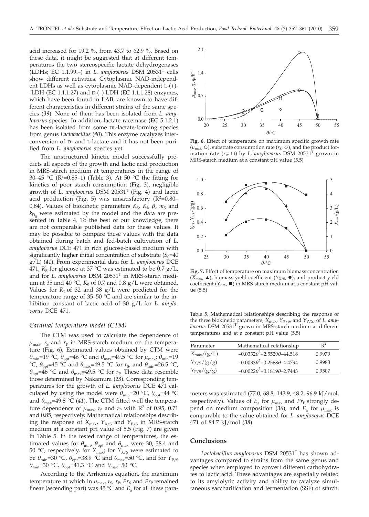acid increased for 19.2 %, from 43.7 to 62.9 %. Based on these data, it might be suggested that at different temperatures the two stereospecific lactate dehydrogenases (LDHs; EC 1.1.99.–) in *L. amylovorus* DSM 20531T cells show different activities. Cytoplasmic NAD-independent LDHs as well as cytoplasmic NAD-dependent L-(+)- -LDH (EC 1.1.1.27) and D-(–)-LDH (EC 1.1.1.28) enzymes, which have been found in LAB, are known to have different characteristics in different strains of the same species (*39*). None of them has been isolated from *L. amylovorus* species. In addition, lactate racemase (EC 5.1.2.1) has been isolated from some DL-lactate-forming species from genus *Lactobacillus* (*40*). This enzyme catalyzes interconversion of D- and L-lactate and it has not been purified from *L. amylovorus* species yet.

The unstructured kinetic model successfully predicts all aspects of the growth and lactic acid production in MRS-starch medium at temperatures in the range of 30–45 °C (R<sup>2</sup>=0.85–1) (Table 3). At 50 °C the fitting for kinetics of poor starch consumption (Fig. 3), negligible growth of *L. amylovorus* DSM 20531T (Fig. 4) and lactic acid production (Fig. 5) was unsatisfactory ( $R^2=0.80-$ 0.84). Values of biokinetic parameters  $K_S$ ,  $K_I$ ,  $\beta$ ,  $m_S$  and  $k_{\text{D}_0}$  were estimated by the model and the data are presented in Table 4. To the best of our knowledge, there are not comparable published data for these values. It may be possible to compare these values with the data obtained during batch and fed-batch cultivation of *L. amylovorus* DCE 471 in rich glucose-based medium with significantly higher initial concentration of substrate  $(S_0=40)$ g/L) (*41*). From experimental data for *L. amylovorus* DCE 471,  $K_S$  for glucose at 37 °C was estimated to be 0.7 g/L, and for *L. amylovorus* DSM 20531T in MRS-starch medium at 35 and 40 °C,  $K_S$  of 0.7 and 0.8  $g/L$  were obtained. Values for  $K_I$  of 32 and 38  $g/L$  were predicted for the temperature range of 35–50 °C and are similar to the inhibition constant of lactic acid of 30 g/L for *L. amylovorus* DCE 471.

### *Cardinal temperature model (CTM)*

The CTM was used to calculate the dependence of  $\mu_{\text{max}}$ ,  $r_S$  and  $r_P$  in MRS-starch medium on the temperature (Fig. 6). Estimated values obtained by CTM were  $\theta_{\text{min}}$ =19 °C,  $\theta_{\text{opt}}$ =46 °C and  $\theta_{\text{max}}$ =49.5 °C for  $\mu_{\text{max}}$ ;  $\theta_{\text{min}}$ =19 °C,  $\theta_{\text{opt}}$ =45 °C and  $\theta_{\text{max}}$ =49.5 °C for  $r_S$ ; and  $\theta_{\text{min}}$ =26.5 °C,  $\theta_{opt}$ =46 °C and  $\theta_{max}$ =49.5 °C for  $r_P$ . These data resemble those determined by Nakamura (*23*). Corresponding temperatures for the growth of *L. amylovorus* DCE 471 calculated by using the model were  $\theta_{\min}$ =20 °C,  $\theta_{\text{opt}}$ =44 °C and  $\theta_{\text{max}}$ =49.8 °C (41). The CTM fitted well the temperature dependence of  $\mu_{\text{max}}$ ,  $r_S$  and  $r_P$  with R<sup>2</sup> of 0.95, 0.71 and 0.85, respectively. Mathematical relationships describing the response of  $X_{\text{max}}$ ,  $Y_{X/S}$  and  $Y_{P/S}$  in MRS-starch medium at a constant pH value of 5.5 (Fig. 7) are given in Table 5. In the tested range of temperatures, the estimated values for  $\theta_{\text{min}}$ ,  $\theta_{\text{opt}}$  and  $\theta_{\text{max}}$  were 30, 38.4 and 50 °C, respectively, for  $X_{\text{max}}$ ; for  $Y_{X/S}$  were estimated to be  $\theta_{\text{min}}$ =30 °C,  $\theta_{\text{opt}}$ =38.9 °C and  $\theta_{\text{max}}$ =50 °C, and for  $Y_{P/S}$  $\theta_{\min}$ =30 °C,  $\theta_{\text{opt}}$ =41.3 °C and  $\theta_{\max}$ =50 °C.

According to the Arrhenius equation, the maximum temperature at which ln  $\mu_{\text{max}}$ ,  $r_S$ ,  $r_P$ ,  $Pr_X$  and  $Pr_P$  remained linear (ascending part) was 45 °C and  $E_a$  for all these para-



**Fig. 6.** Effect of temperature on maximum specific growth rate  $(\mu_{\text{max}}, \circ)$ , substrate consumption rate  $(r_S, \diamond)$ , and the product formation rate  $(r_P, \Box)$  by *L. amylovorus* DSM 20531<sup>T</sup> grown in MRS-starch medium at a constant pH value (5.5)



**Fig. 7.** Effect of temperature on maximum biomass concentration  $(X_{\text{max}} \triangle)$ , biomass yield coefficient  $(Y_{X/S}, \bullet)$ , and product yield coefficient (*Y*<sub>P/S</sub>, ■) in MRS-starch medium at a constant pH value (5.5)

Table 5. Mathematical relationships describing the response of the three biokinetic parameters, *X*max, *Y*X/S, and *Y*P/S, of *L. amylovorus* DSM 20531<sup>T</sup> grown in MRS-starch medium at different temperatures and at a constant pH value (5.5)

| Parameter           | Mathematical relationship                 | $R^2$  |
|---------------------|-------------------------------------------|--------|
| $X_{\rm max}/(g/L)$ | $-0.0332\theta^2 + 2.5529\theta - 44.518$ | 0.9979 |
| $Y_{X/S}/(g/g)$     | $-0.0033\theta^2 + 0.2568\theta - 4.4794$ | 0.9983 |
| $Y_{P/S}/(g/g)$     | $-0.0022\theta^2+0.1819\theta-2.7443$     | 0.9507 |
|                     |                                           |        |

meters was estimated (77.0, 68.8, 143.9, 48.2, 96.9 kJ/mol, respectively). Values of  $E_a$  for  $\mu_{\text{max}}$  and  $Pr_{\text{P}}$  strongly depend on medium composition (36), and  $E_a$  for  $\mu_{\text{max}}$  is comparable to the value obtained for *L. amylovorus* DCE 471 of 84.7 kJ/mol (*38*).

## **Conclusions**

*Lactobacillus amylovorus* DSM 20531T has shown advantages compared to strains from the same genus and species when employed to convert different carbohydrates to lactic acid. These advantages are especially related to its amylolytic activity and ability to catalyze simultaneous saccharification and fermentation (SSF) of starch.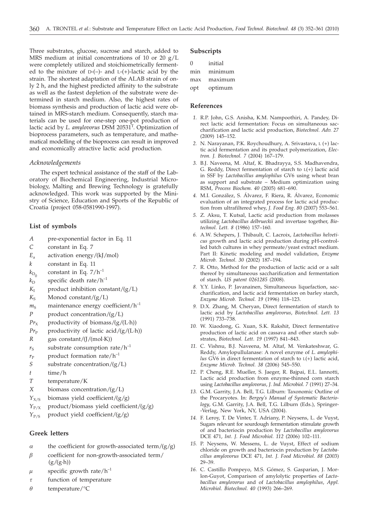Three substrates, glucose, sucrose and starch, added to MRS medium at initial concentrations of 10 or 20 g/L were completely utilized and stoichiometrically fermented to the mixture of  $D$ -(-)- and  $L$ -(+)-lactic acid by the strain. The shortest adaptation of the ALAB strain of only 2 h, and the highest predicted affinity to the substrate as well as the fastest depletion of the substrate were determined in starch medium. Also, the highest rates of biomass synthesis and production of lactic acid were obtained in MRS-starch medium. Consequently, starch materials can be used for one-step one-pot production of lactic acid by *L. amylovorus* DSM 20531T. Optimization of bioprocess parameters, such as temperature, and mathematical modelling of the bioprocess can result in improved and economically atractive lactic acid production.

### *Acknowledgements*

The expert technical assistance of the staff of the Laboratory of Biochemical Engineering, Industrial Microbiology, Malting and Brewing Technology is gratefully acknowledged. This work was supported by the Ministry of Science, Education and Sports of the Republic of Croatia (project 058-0581990-1997).

### **List of symbols**

- *A* pre-exponential factor in Eq. 11
- *C* constant in Eq. 7
- *E*<sup>a</sup> activation energy/(kJ/mol)
- *k* constant in Eq. 11
- $k_{\text{D}_0}$  constant in Eq. 7/h<sup>-1</sup><br> $k_{\text{D}}$  specific death rate/h<sup>-1</sup>
- specific death rate/ $h^{-1}$
- $K_{I}$  product inhibition constant/(g/L)
- $K<sub>S</sub>$  Monod constant/(g/L)
- $m<sub>S</sub>$  maintenance energy coefficient/ $h<sup>-1</sup>$
- *P* product concentration/(g/L)
- $Pr_X$  productivity of biomass/(g/(L·h))
- $Pr_{\rm P}$  productivity of lactic acid/(g/(L·h))
- *R* gas constant/(J/(mol·K))
- $r<sub>S</sub>$  substrate consumption rate/h<sup>-1</sup>
- $r_{\rm P}$  product formation rate/h<sup>-1</sup>
- *S* substrate concentration/(g/L)
- *t* time/h
- *T* temperature/K
- *X* biomass concentration/(g/L)
- $Y_{X/S}$  biomass yield coefficient/(g/g)
- *Y*<sub>P/X</sub> product/biomass yield coefficient/(g/g)
- *Y*<sub>P/S</sub> product yield coefficient/(g/g)

# **Greek letters**

- *a* the coefficient for growth-associated term/(g/g)<br> *B* coefficient for non-growth-associated term/
- *b* coefficient for non-growth-associated term/  $(g/(g \cdot h))$
- *m* specific growth rate/h<sup>-1</sup><br>*r* function of temperature
- *t* function of temperature  $\theta$  temperature/°C
- *q* temperature/°C

### **Subscripts**

- 0 initial
- min minimum max maximum
- 
- opt optimum

# **References**

- *1.* R.P. John, G.S. Anisha, K.M. Nampoothiri, A. Pandey, Direct lactic acid fermentation: Focus on simultaneous saccharification and lactic acid production, *Biotechnol. Adv. 27* (2009) 145–152.
- *2.* N. Narayanan, P.K. Roychoudhury, A. Srivastava, L (+) lactic acid fermentation and its product polymerization, *Electron. J. Biotechnol. 7* (2004) 167–179.
- *3.* B.J. Naveena, M. Altaf, K. Bhadrayya, S.S. Madhavendra, G. Reddy, Direct fermentation of starch to  $L(+)$  lactic acid in SSF by *Lactobacillus amylophilus* GV6 using wheat bran as support and substrate – Medium optimization using RSM, *Process Biochem. 40* (2005) 681–690.
- *4.* M.I. González, S. Álvarez, F. Riera, R. Álvarez, Economic evaluation of an integrated process for lactic acid production from ultrafiltered whey, *J. Food Eng. 80* (2007) 553–561.
- *5.* Z. Aksu, T. Kutsal, Lactic acid production from molasses utilizing *Lactobacillus delbrueckii* and invertase together, *Biotechnol. Lett. 8* (1986) 157–160.
- *6.* A.W. Schepers, J. Thibault, C. Lacroix, *Lactobacillus helveticus* growth and lactic acid production during pH-controlled batch cultures in whey permeate/yeast extract medium. Part II: Kinetic modeling and model validation, *Enzyme Microb. Technol*. *30* (2002) 187–194.
- *7.* R. Otto, Method for the production of lactic acid or a salt thereof by simultaneous saccharification and fermentation of starch. *US patent 0261285* (2008).
- *8.* Y.Y. Linko, P. Javanainen, Simultaneous liquefaction, saccharification, and lactic acid fermentation on barley starch, *Enzyme Microb. Technol. 19* (1996) 118–123.
- *9.* D.X. Zhang, M. Cheryan, Direct fermentation of starch to lactic acid by *Lactobacillus amylovorus*, *Biotechnol. Lett. 13* (1991) 733–738.
- *10.* W. Xiaodong, G. Xuan, S.K. Rakshit, Direct fermentative production of lactic acid on cassava and other starch substrates, *Biotechnol. Lett*. *19* (1997) 841–843.
- *11.* C. Vishnu, B.J. Naveena, M. Altaf, M. Venkateshwar, G. Reddy, Amylopullulanase: A novel enzyme of *L. amylophilus* GV6 in direct fermentation of starch to L(+) lactic acid, *Enzyme Microb. Technol. 38* (2006) 545–550.
- *12.* P. Cheng, R.E. Mueller, S. Jaeger, R. Bajpai, E.L. Iannotti, Lactic acid production from enzyme-thinned corn starch using *Lactobacillus amylovorus*, *J. Ind. Microbiol. 7* (1991) 27–34.
- *13.* G.M. Garrity, J.A. Bell, T.G. Lilburn: Taxonomic Outline of the Procaryotes. In: *Bergey's Manual of Systematic Bacteriology*, G.M. Garrity, J.A. Bell, T.G. Lilburn (Eds.), Springer- -Verlag, New York, NY, USA (2004).
- *14.* F. Leroy, T. De Vinter, T. Adriany, P. Neysens, L. de Vuyst, Sugars relevant for sourdough fermentation stimulate growth of and bacteriocin production by *Lactobacillus amylovorus* DCE 471, *Int. J. Food Microbiol. 112* (2006) 102–111.
- *15.* P. Neysens, W. Messens, L. de Vuyst, Effect of sodium chloride on growth and bacteriocin production by *Lactobacillus amylovorus* DCE 471, *Int. J. Food Microbiol*. *88* (2003) 29–39.
- *16.* C. Castillo Pompeyo, M.S. Gómez, S. Gasparian, J. Morlon-Guyot, Comparison of amylolytic properties of *Lactobacillus amylovorus* and of *Lactobacillus amylophilus*, *Appl. Microbiol. Biotechnol. 40* (1993) 266–269.